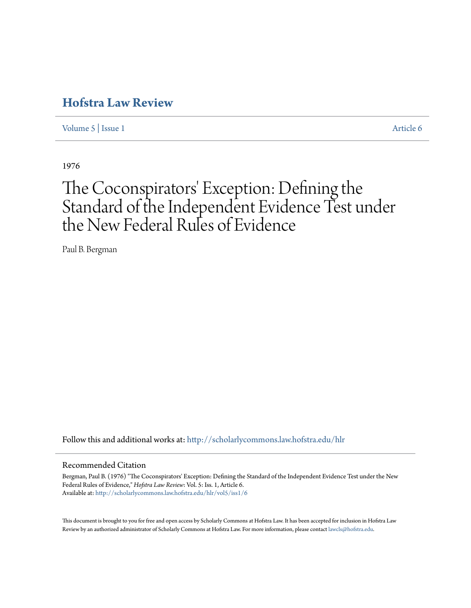# **[Hofstra Law Review](http://scholarlycommons.law.hofstra.edu/hlr?utm_source=scholarlycommons.law.hofstra.edu%2Fhlr%2Fvol5%2Fiss1%2F6&utm_medium=PDF&utm_campaign=PDFCoverPages)**

[Volume 5](http://scholarlycommons.law.hofstra.edu/hlr/vol5?utm_source=scholarlycommons.law.hofstra.edu%2Fhlr%2Fvol5%2Fiss1%2F6&utm_medium=PDF&utm_campaign=PDFCoverPages) | [Issue 1](http://scholarlycommons.law.hofstra.edu/hlr/vol5/iss1?utm_source=scholarlycommons.law.hofstra.edu%2Fhlr%2Fvol5%2Fiss1%2F6&utm_medium=PDF&utm_campaign=PDFCoverPages) [Article 6](http://scholarlycommons.law.hofstra.edu/hlr/vol5/iss1/6?utm_source=scholarlycommons.law.hofstra.edu%2Fhlr%2Fvol5%2Fiss1%2F6&utm_medium=PDF&utm_campaign=PDFCoverPages)

1976

# The Coconspirators' Exception: Defining the Standard of the Independent Evidence Test under the New Federal Rules of Evidence

Paul B. Bergman

Follow this and additional works at: [http://scholarlycommons.law.hofstra.edu/hlr](http://scholarlycommons.law.hofstra.edu/hlr?utm_source=scholarlycommons.law.hofstra.edu%2Fhlr%2Fvol5%2Fiss1%2F6&utm_medium=PDF&utm_campaign=PDFCoverPages)

#### Recommended Citation

Bergman, Paul B. (1976) "The Coconspirators' Exception: Defining the Standard of the Independent Evidence Test under the New Federal Rules of Evidence," *Hofstra Law Review*: Vol. 5: Iss. 1, Article 6. Available at: [http://scholarlycommons.law.hofstra.edu/hlr/vol5/iss1/6](http://scholarlycommons.law.hofstra.edu/hlr/vol5/iss1/6?utm_source=scholarlycommons.law.hofstra.edu%2Fhlr%2Fvol5%2Fiss1%2F6&utm_medium=PDF&utm_campaign=PDFCoverPages)

This document is brought to you for free and open access by Scholarly Commons at Hofstra Law. It has been accepted for inclusion in Hofstra Law Review by an authorized administrator of Scholarly Commons at Hofstra Law. For more information, please contact [lawcls@hofstra.edu](mailto:lawcls@hofstra.edu).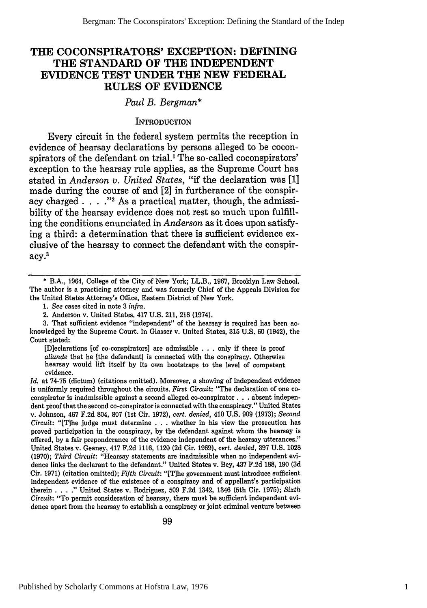### **THE COCONSPIRATORS' EXCEPTION: DEFINING THE STANDARD OF THE INDEPENDENT EVIDENCE TEST UNDER THE NEW FEDERAL RULES OF EVIDENCE**

#### *Paul B. Bergman\**

#### **INTRODUCTION**

Every circuit in the federal system permits the reception in evidence of hearsay declarations by persons alleged to be coconspirators of the defendant on trial.' The so-called coconspirators' exception to the hearsay rule applies, as the Supreme Court has stated in *Anderson v. United States,* "if the declaration was **[11** made during the course of and [2] in furtherance of the conspiracy charged **... \*"2** As a practical matter, though, the admissibility of the hearsay evidence does not rest so much upon fulfilling the conditions enunciated in *Anderson* as it does upon satisfying a third: a determination that there is sufficient evidence exclusive of the hearsay to connect the defendant with the conspiracy.3

3. That sufficient evidence "independent" of the hearsay is required has been acknowledged by the Supreme Court. In Glasser v. United States, 315 U.S. 60 (1942), the Court stated:

[Dieclarations [of co-conspirators] are admissible . . . only if there is proof *aliunde* that he [the defendant] is connected with the conspiracy. Otherwise hearsay would lift itself by its own bootstraps to the level of competent evidence.

*Id.* at **74-75** (dictum) (citations omitted). Moreover, a showing of independent evidence is uniformly required throughout the circuits. *First Circuit:* "The declaration of one coconspirator is inadmissible against a second alleged co-conspirator. **. .** absent independent proof that the second co-conspirator is connected with the conspiracy." United States v. Johnson, 467 F.2d 804, **807** (1st Cir. 1972), *cert. denied,* 410 U.S. 909 (1973); *Second Circuit:* "[T]he judge must determine . . . whether in his view the prosecution has proved participation in the conspiracy, by the defendant against whom the hearsay is offered, by a fair preponderance of the evidence independent of the hearsay utterances." United States v. Geaney, 417 F.2d 1116, 1120 **(2d** Cir. 1969), *cert. denied,* **397** U.S. **1028** (1970); *Third Circuit:* "Hearsay statements are inadmissible when no independent evidence links the declarant to the defendant." United States v. Bey, 437 **F.2d 188, 190** (3d Cir. 1971) (citation omitted); *Fifth Circuit:* "[Tihe government must introduce sufficient independent evidence of the existence of a conspiracy and of appellant's participation therein . **.** . **"** United States v. Rodriguez, **509** F.2d 1342, 1346 (5th Cir. 1975); *Sixth Circuit:* "To permit consideration of hearsay, there must be sufficient independent evidence apart from the hearsay to establish a conspiracy or joint criminal venture between

<sup>\*</sup> B.A., 1964, College of the City of New York; LL.B., 1967, Brooklyn Law School. The author is a practicing attorney and was formerly Chief of the Appeals Division for the United States Attorney's Office, Eastern District of New York.

*<sup>1.</sup> See* cases cited in note 3 *infra.*

<sup>2.</sup> Anderson v. United States, 417 U.S. 211, 218 (1974).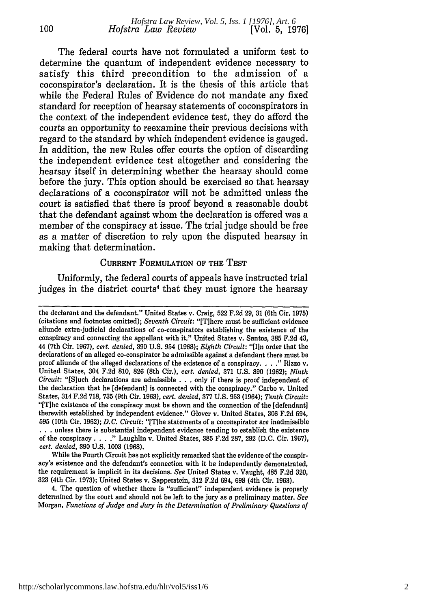The federal courts have not formulated a uniform test to determine the quantum of independent evidence necessary to satisfy this third precondition to the admission of a coconspirator's declaration. It is the thesis of this article that while the Federal Rules of Evidence do not mandate any fixed standard for reception of hearsay statements of coconspirators in the context of the independent evidence test, they do afford the courts an opportunity to reexamine their previous decisions with regard to the standard by which independent evidence is gauged. In addition, the new Rules offer courts the option of discarding the independent evidence test altogether and considering the hearsay itself in determining whether the hearsay should come before the jury. This option should be exercised so that hearsay declarations of a coconspirator will not be admitted unless the court is satisfied that there is proof beyond a reasonable doubt that the defendant against whom the declaration is offered was a member of the conspiracy at issue. The trial judge should be free as a matter of discretion to rely upon the disputed hearsay in making that determination.

100

#### CURRENT FORMULATION OF THE TEST

Uniformly, the federal courts of appeals have instructed trial judges in the district courts<sup>4</sup> that they must ignore the hearsay

While the Fourth Circuit has not explicitly remarked that the evidence of the conspiracy's existence and the defendant's connection with it be independently demonstrated, the requirement is implicit in its decisions. *See* United States v. Vaught, 485 F.2d **320, 323** (4th Cir. 1973); United States v. Sapperstein, **312** F.2d 694, **698** (4th Cir. 1963).

4. The question of whether there is "sufficient" independent evidence is properly determined by the court and should not be left to the jury as a preliminary matter. *See* Morgan, *Functions of Judge and Jury in the Determination of Preliminary Questions of*

the declarant and the defendant." United States v. Craig, **522** F.2d **29, 31** (6th Cir. **1975)** (citations and footnotes omitted); *Seventh Circuit:* "[Tihere must be sufficient evidence aliunde extra-judicial declarations of co-conspirators establishing the existence of the conspiracy and connecting the appellant with it." United States v. Santos, **385** F.2d 43, 44 (7th Cir. 1967), *cert. denied,* **390** U.S. 954 (1968); *Eighth Circuit:* "[Iln order that the declarations of an alleged co-conspirator be admissible against a defendant there must **be** proof aliunde of the alleged declarations of the existence of a conspiracy. . . **"** Rizzo v. United States, 304 F.2d 810, **826** (8th Cir.), *cert. denied,* 371 U.S. **890** (1962); *Ninth Circuit:* "[S]uch declarations are admissible . . . only if there is proof independent of the declaration that he [defendant] is connected with the conspiracy." Carbo v. United States, 314 F.2d 718, **735** (9th Cir. **1963),** *cert. denied,* **377** U.S. **953** (1964); *Tenth Circuit:* "[T]he existence of the conspiracy must be shown and the connection of the [defendant] therewith established by independent evidence." Glover v. United States, 306 F.2d 594, **<sup>595</sup>**(10th Cir. **1962);** *D.C. Circuit:* "IThe statements of a coconspirator are inadmissible **...**unless there is substantial independent evidence tending to establish the existence of the conspiracy **.... "** Laughlin v. United States, **385** F.2d 287, **292** (D.C. Cir. 1967), *cert. denied,* **390** U.S. 1003 (1968).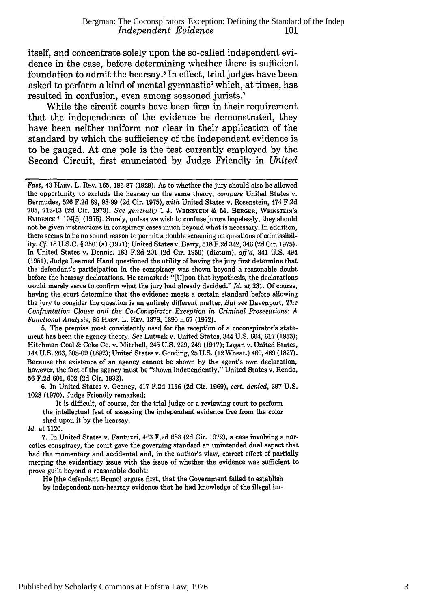itself, and concentrate solely upon the so-called independent evidence in the case, before determining whether there is sufficient foundation to admit the hearsay.5 In effect, trial judges have been asked to perform a kind of mental gymnastic' which, at times, has resulted in confusion, even among seasoned jurists.7

While the circuit courts have been firm in their requirement that the independence of the evidence be demonstrated, they have been neither uniform nor clear in their application of the standard by which the sufficiency of the independent evidence is to be gauged. At one pole is the test currently employed by the Second Circuit, first enunciated by Judge Friendly in *United*

**5.** The premise most consistently used for the reception of a coconspirator's statement has been the agency theory. *See* Lutwak v. United States, 344 **U.S.** 604, **617 (1953);** Hitchman Coal & Coke Co. v. Mitchell, 245 **U.S. 229,** 249 **(1917);** Logan v. United States, 144 **U.S. 263, 308-09 (1892);** United States v. Gooding, **25 U.S.** (12 Wheat.) 460, 469 **(1827).** Because the existence of an agency cannot be shown **by** the agent's own declaration, however, the fact of the agency must be "shown independently." United States v. Renda, **56 F.2d 601, 602 (2d** Cir. **1932).**

**6.** In United States v. Geaney, 417 **F.2d 1116 (2d** Cir. **1969),** *cert. denied,* **397 U.S. 1028 (1970),** Judge Friendly remarked:

It is difficult, of course, for the trial judge or a reviewing court to perform the intellectual feat of assessing the independent evidence free from the color shed upon it by the hearsay.

*Id.* at 1120.

7. In United States v. Fantuzzi, 463 F.2d 683 (2d Cir. 1972), a case involving a narcotics conspiracy, the court gave the governing standard an unintended dual aspect that had the momentary and accidental and, in the author's view, correct effect of partially merging the evidentiary issue with the issue of whether the evidence was sufficient to prove guilt beyond a reasonable doubt:

He [the defendant Bruno] argues first, that the Government failed to establish by independent non-hearsay evidence that he had knowledge of the illegal im-

*Fact,* 43 HARV. L. **REV.** 165, 186-87 **(1929).** As to whether the jury should also be allowed the opportunity to exclude the hearsay on the same theory, *compare* United States v. Bermudez, 526 F.2d 89, 98-99 **(2d** Cir. 1975), *with* United States v. Rosenstein, 474 F.2d 705, 712-13 (2d Cir. 1973). *See generally* 1 J. **WEINSTEIN** & M. BERGER, WEINSTEIN's EVIDENCE 10415] (1975). Surely, unless we wish to confuse jurors hopelessly, they should not be given instructions in conspiracy cases much beyond what is necessary. In addition, there seems to be no sound reason to permit a double screening on questions of admissibility. *Cf.* **18** U.S.C. § 3501(a) (1971); United States v. Barry, **518** F.2d 342, 346 (2d Cir. 1975). In United States v. Dennis, 183 F.2d 201 (2d Cir. 1950) (dictum), *aff'd,* 341 U.S. 494 (1951), Judge Learned Hand questioned the utility of having the jury first determine that the defendant's participation in the conspiracy was shown beyond a reasonable doubt before the hearsay declarations. He remarked: "[U]pon that hypothesis, the declarations would merely serve to confirm what the jury had already decided." *Id.* at 231. Of course, having the court determine that the evidence meets a certain standard before allowing the jury to consider the question is an entirely different matter. *But see* Davenport, *The Confrontation Clause and the Co-Conspirator Exception in Criminal Prosecutions: A Functional Analysis,* **85** HARv. L. REv. **1378, 1390** n.57 **(1972).**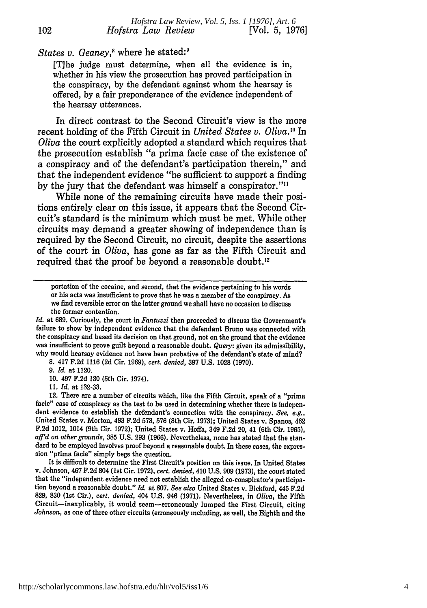## States v. Geaney,<sup>8</sup> where he stated:<sup>9</sup>

102

[T]he judge must determine, when all the evidence is in, whether in his view the prosecution has proved participation in the conspiracy, by the defendant against whom the hearsay is offered, by a fair preponderance of the evidence independent of the hearsay utterances.

In direct contrast to the Second Circuit's view is the more recent holding of the Fifth Circuit in *United States v. Oliva.'"* In *Oliva* the court explicitly adopted a standard which requires that the prosecution establish "a prima facie case of the existence of a conspiracy and of the defendant's participation therein," and that the independent evidence "be sufficient to support a finding by the jury that the defendant was himself a conspirator."<sup>11</sup>

While none of the remaining circuits have made their positions entirely clear on this issue, it appears that the Second Circuit's standard is the minimum which must be met. While other circuits may demand a greater showing of independence than is required by the Second Circuit, no circuit, despite the assertions of the court in *Oliva,* has gone as far as the Fifth Circuit and required that the proof be beyond a reasonable doubt.<sup>12</sup>

*Id.* at **689.** Curiously, the court in *Fantuzzi* then proceeded to discuss the Government's failure to show **by** independent evidence that the defendant Bruno was connected with the conspiracy and based its decision on that ground, not on the ground that the evidence was insufficient to prove guilt beyond a reasonable doubt. *Query:* given its admissibility, why would hearsay evidence not have been probative of the defendant's state of mind?

**8.** 417 **F.2d** 1116 **(2d** Cir. **1969),** *cert. denied,* **397 U.S.** 1028 **(1970).**

**9.** *Id.* at 1120.

**10.** 497 **F.2d 130** (5th Cir. 1974).

**11.** *Id.* at **132-33.**

12. There are a number of circuits which, like the Fifth Circuit, speak of a "prima facie" case of conspiracy as the test to be used in determining whether there is independent evidence to establish the defendant's connection with the conspiracy. *See, eg.,* United States v. Morton, 483 **F.2d 573, 576** (8th Cir. **1973);** United States v. Spanos, 462 **F.2d** 1012, 1014 (9th Cir. **1972);** United States v. Hoffa, 349 **F.2d** 20, 41 (6th Cir. 1965), *aff'd on other grounds,* **385 U.S. 293 (1966).** Nevertheless, none has stated that the standard to be employed involves proof beyond a reasonable doubt. In these cases, the expression "prima facie" simply begs the question.

It is difficult to determine the First Circuit's position on this issue. In United States v. Johnson, 467 **F.2d** 804 (1st Cir. **1972),** *cert. denied,* 410 **U.S. 909 (1973),** the court stated that the "independent evidence need not establish the alleged co-conspirator's participation beyond a reasonable doubt." *Id.* at **807.** *See also* United States v. Bickford, 445 **F.2d 829, 830** (1st Cir.), *cert. denied,* 404 **U.S.** 946 **(1971).** Nevertheless, in *Oliva,* the Fifth Circuit-inexplicably, it would seem-erroneously lumped the First Circuit, citing *Johnson,* as one of three other circuits (erroneously including, as well, the Eighth and the

portation of the cocaine, and second, that the evidence pertaining to his words or his acts was insufficient to prove that he was a member of the conspiracy. As we find reversible error on the latter ground we shall have no occasion to discuss the former contention.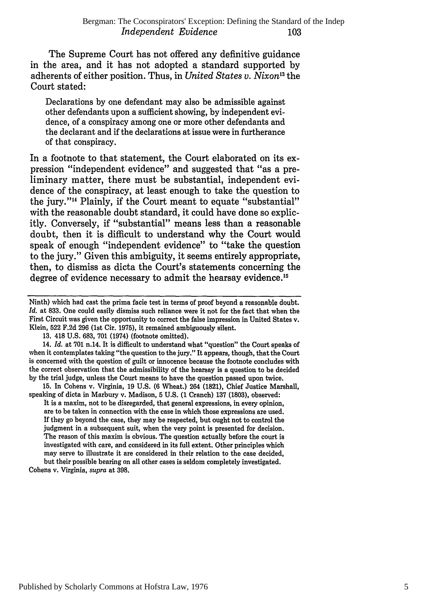The Supreme Court has not offered any definitive guidance in the area, and it has not adopted a standard supported by adherents of either position. Thus, in *United States v. Nixon*<sup>13</sup> the Court stated:

Declarations by one defendant may also be admissible against other defendants upon a sufficient showing, by independent evidence, of a conspiracy among one or more other defendants and the declarant and if the declarations at issue were in furtherance of that conspiracy.

In a footnote to that statement, the Court elaborated on its expression "independent evidence" and suggested that "as a preliminary matter, there must be substantial, independent evidence of the conspiracy, at least enough to take the question to the jury."<sup>14</sup> Plainly, if the Court meant to equate "substantial" with the reasonable doubt standard, it could have done so explicitly. Conversely, if "substantial" means less than a reasonable doubt, then it is difficult to understand why the Court would speak of enough "independent evidence" to "take the question to the jury." Given this ambiguity, it seems entirely appropriate, then, to dismiss as dicta the Court's statements concerning the degree of evidence necessary to admit the hearsay evidence.<sup>15</sup>

Ninth) which had cast the prima facie test in terms of proof beyond a reasonable doubt. *Id.* at 833. One could easily dismiss such reliance were it not for the fact that when the First Circuit was given the opportunity to correct the false impression in United States v. Klein, 522 F.2d 296 (1st Cir. 1975), it remained ambiguously silent.

14. *Id.* at 701 n.14. It is difficult to understand what "question" the Court speaks of when it contemplates taking "the question to the jury." It appears, though, that the Court is concerned with the question of guilt or innocence because the footnote concludes with the correct observation that the admissibility of the hearsay is a question to be decided by the trial judge, unless the Court means to have the question passed upon twice.

15. In Cohens v. Virginia, 19 U.S. **(6** Wheat.) 264 (1821), Chief Justice Marshall, speaking of dicta in Marbury v. Madison, 5 U.S. (1 Cranch) **137** (1803), observed:

It is a maxim, not to be disregarded, that general expressions, in every opinion, are to be taken in connection with the case in which those expressions are used. If they go beyond the case, they may be respected, but ought not to control the judgment in a subsequent suit, when the very point is presented for decision. The reason of this maxim is obvious. The question actually before the court is investigated with care, and considered in its full extent. Other principles which may serve to illustrate it are considered in their relation to the case decided, but their possible bearing on all other cases is seldom completely investigated.

Cohens v. Virginia, *supra* at 398.

<sup>13. 418</sup> U.S. 683, 701 (1974) (footnote omitted).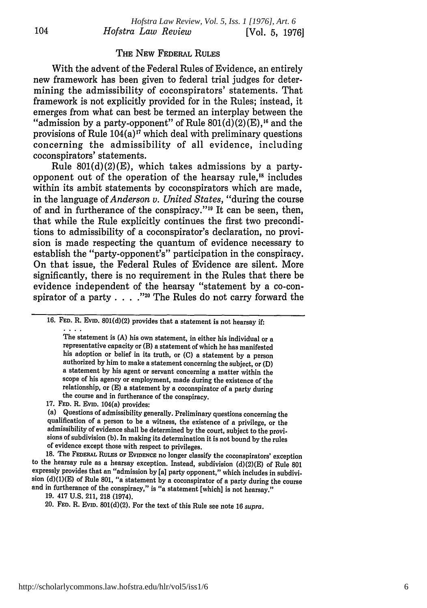#### THE NEW FEDERAL **RULES**

With the advent of the Federal Rules of Evidence, an entirely new framework has been given to federal trial judges for determining the admissibility of coconspirators' statements. That framework is not explicitly provided for in the Rules; instead, it "admission by a party-opponent" of Rule  $801(d)(2)(E)$ ,<sup>16</sup> and the provisions of Rule  $104(a)^{17}$  which deal with preliminary questions concerning the admissibility of all evidence, including coconspirators' statements.

Rule  $801(d)(2)(E)$ , which takes admissions by a partyopponent out of the operation of the hearsay rule.<sup>18</sup> includes within its ambit statements by coconspirators which are made, in the language of *Anderson v. United States,* "during the course of and in furtherance of the conspiracy."<sup>19</sup> It can be seen, then, that while the Rule explicitly continues the first two preconditions to admissibility of a coconspirator's declaration, no provision is made respecting the quantum of evidence necessary to establish the "party-opponent's" participation in the conspiracy. On that issue, the Federal Rules of Evidence are silent. More significantly, there is no requirement in the Rules that there be evidence independent of the hearsay "statement by a co-conspirator of a party . . . . "<sup>20</sup> The Rules do not carry forward the

The statement is (A) his own statement, in either his individual or a representative capacity or (B) a statement of which he has manifested his adoption or belief in its truth, or **(C)** a statement by a person authorized by him to make a statement concerning the subject, or (D) a statement by his agent or servant concerning a matter within the scope of his agency or employment, made during the existence of the relationship, or **(E)** a statement by a coconspirator of a party during the course and in furtherance of the conspiracy.

18. The FEDERAL RULES OF EVIDENCE no longer classify the coconspirators' exception to the hearsay rule as a hearsay exception. Instead, subdivision (d)(2)(E) of Rule 801 expressly provides that an "admission by [a] party opponent," which includes in subdivision (d)(1)(E) of Rule 801, "a statement by a coconspirator of a party during the course and in furtherance of the conspiracy," is "a statement [which] is not hearsay."

<sup>16.</sup> **FED.** R. EVID. 801(d)(2) provides that a statement is not hearsay **if:**  $\cdots$  .

<sup>17.</sup> **FED.** R. **EVID.** 104(a) provides:

<sup>(</sup>a) Questions of admissibility generally. Preliminary questions concerning the qualification of a person to be a witness, the existence of a privilege, or the admissibility of evidence shall be determined by the court, subject to the provisions of subdivision (b). In making its determination it is not bound by the rules of evidence except those with respect to privileges.

<sup>19. 417</sup> U.S. 211, 218 (1974).

<sup>20.</sup> **FED.** R. EVID. 801(d)(2). For the text of this Rule see note 16 supra.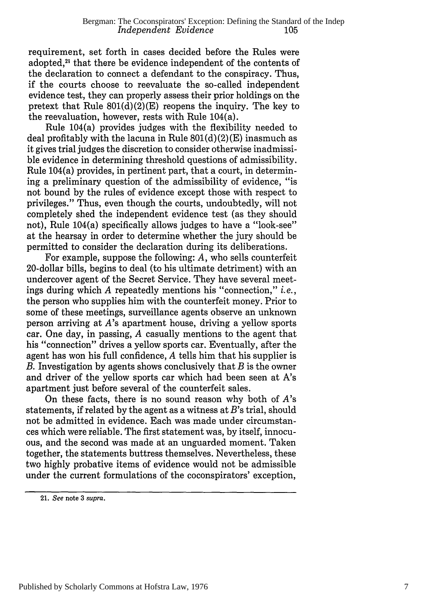requirement, set forth in cases decided before the Rules were adopted.<sup>21</sup> that there be evidence independent of the contents of the declaration to connect a defendant to the conspiracy. Thus, if the courts choose to reevaluate the so-called independent evidence test, they can properly assess their prior holdings on the pretext that Rule  $801(d)(2)(E)$  reopens the inquiry. The key to the reevaluation, however, rests with Rule 104(a).

Rule 104(a) provides judges with the flexibility needed to deal profitably with the lacuna in Rule  $801(d)(2)(E)$  inasmuch as it gives trial judges the discretion to consider otherwise inadmissible evidence in determining threshold questions of admissibility. Rule 104(a) provides, in pertinent part, that a court, in determining a preliminary question of the admissibility of evidence, "is not bound by the rules of evidence except those with respect to privileges." Thus, even though the courts, undoubtedly, will not completely shed the independent evidence test (as they should not), Rule 104(a) specifically allows judges to have a "look-see" at the hearsay in order to determine whether the jury should be permitted to consider the declaration during its deliberations.

For example, suppose the following: *A,* who sells counterfeit 20-dollar bills, begins to deal (to his ultimate detriment) with an undercover agent of the Secret Service. They have several meetings during which *A* repeatedly mentions his "connection," *i.e.,* the person who supplies him with the counterfeit money. Prior to some of these meetings, surveillance agents observe an unknown person arriving at A's apartment house, driving a yellow sports car. One day, in passing, *A* casually mentions to the agent that his "connection" drives a yellow sports car. Eventually, after the agent has won his full confidence, *A* tells him that his supplier is *B.* Investigation by agents shows conclusively that *B* is the owner and driver of the yellow sports car which had been seen at A's apartment just before several of the counterfeit sales.

On these facts, there is no sound reason why both of *A's* statements, if related by the agent as a witness at *B's* trial, should not be admitted in evidence. Each was made under circumstances which were reliable. The first statement was, by itself, innocuous, and the second was made at an unguarded moment. Taken together, the statements buttress themselves. Nevertheless, these two highly probative items of evidence would not be admissible under the current formulations of the coconspirators' exception,

<sup>21.</sup> See note **3** supra.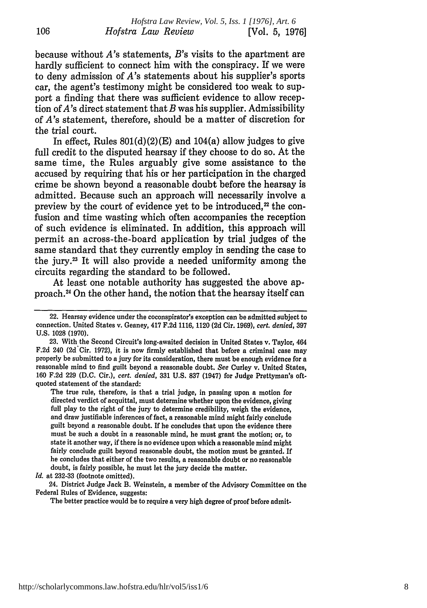because without *A's* statements, *B's* visits to the apartment are hardly sufficient to connect him with the conspiracy. If we were to deny admission of *A's* statements about his supplier's sports car, the agent's testimony might be considered too weak to support a finding that there was sufficient evidence to allow reception of  $A$ 's direct statement that  $B$  was his supplier. Admissibility of *A's* statement, therefore, should be a matter of discretion for the trial court.

In effect, Rules  $801(d)(2)(E)$  and  $104(a)$  allow judges to give full credit to the disputed hearsay if they choose to do so. At the same time, the Rules arguably give some assistance to the accused by requiring that his or her participation in the charged crime be shown beyond a reasonable doubt before the hearsay is admitted. Because such an approach will necessarily involve a preview by the court of evidence yet to be introduced.<sup>22</sup> the confusion and time wasting which often accompanies the reception of such evidence is eliminated. In addition, this approach will permit an across-the-board application by trial judges of the same standard that they currently employ in sending the case to the jury.? It will also provide a needed uniformity among the circuits regarding the standard to be followed.

At least one notable authority has suggested the above approach.4 On the other hand, the notion that the hearsay itself can

The true rule, therefore, is that a trial judge, in passing upon a motion for directed verdict of acquittal, must determine whether upon the evidence, giving full play to the right of the jury to determine credibility, weigh the evidence, and draw justifiable inferences of fact, a reasonable mind might fairly conclude guilt beyond a reasonable doubt. **If** he concludes that upon the evidence there must be such a doubt in a reasonable mind, he must grant the motion; or, to state it another way, if there is no evidence upon which a reasonable mind might fairly conclude guilt beyond reasonable doubt, the motion must be granted. If he concludes that either of the two results, a reasonable doubt or no reasonable doubt, is fairly possible, he must let the jury decide the matter.

*Id.* at **232-33** (footnote omitted).

106

24. District Judge Jack B. Weinstein, a member of the Advisory Committee on the Federal Rules of Evidence, suggests:

The better practice would be to require a very high degree of proof before admit-

<sup>22.</sup> Hearsay evidence under the coconspirator's exception can be admitted subject to connection. United States v. Geaney, 417 **F.2d 1116,** 1120 **(2d** Cir. **1969),** *cert. denied,* **397 U.S. 1028 (1970).**

**<sup>23.</sup>** With the Second Circuit's long-awaited decision in United States v. Taylor, 464 F.2d 240 (2d<sup>cir.</sup> 1972), it is now firmly established that before a criminal case may properly be submitted to a jury for its consideration, there must be enough evidence for a reasonable mind to find guilt beyond a reasonable doubt. *See* Curley v. United States, **160 F.2d 229 (D.C.** Cir.), *cert. denied,* **331 U.S. 837** (1947) for Judge Prettyman's oftquoted statement of the standard: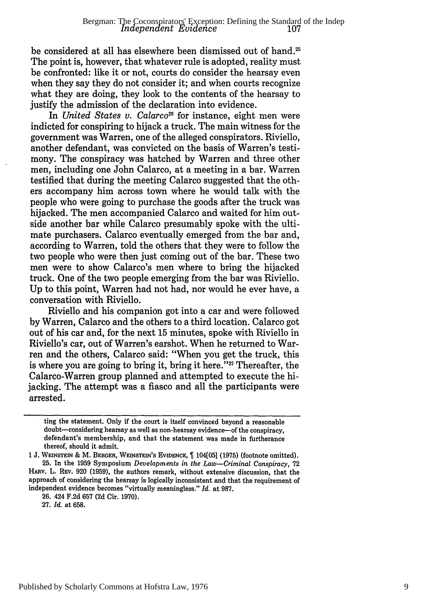be considered at all has elsewhere been dismissed out of hand.<sup>25</sup> The point is, however, that whatever rule is adopted, reality must be confronted: like it or not, courts do consider the hearsay even when they say they do not consider it; and when courts recognize what they are doing, they look to the contents of the hearsay to justify the admission of the declaration into evidence.

In *United States v. Calarco*<sup>26</sup> for instance, eight men were indicted for conspiring to hijack a truck. The main witness for the government was Warren, one of the alleged conspirators. Riviello, another defendant, was convicted on the basis of Warren's testimony. The conspiracy was hatched by Warren and three other men, including one John Calarco, at a meeting in a bar. Warren testified that during the meeting Calarco suggested that the others accompany him across town where he would talk with the people who were going to purchase the goods after the truck was hijacked. The men accompanied Calarco and waited for him outside another bar while Calarco presumably spoke with the ultimate purchasers. Calarco eventually emerged from the bar and, according to Warren, told the others that they were to follow the two people who were then just coming out of the bar. These two men were to show Calarco's men where to bring the hijacked truck. One of the two people emerging from the bar was Riviello. Up to this point, Warren had not had, nor would he ever have, a conversation with Riviello.

Riviello and his companion got into a car and were followed by Warren, Calarco and the others to a third location. Calarco got out of his car and, for the next 15 minutes, spoke with Riviello in Riviello's car, out of Warren's earshot. When he returned to Warren and the others, Calarco said: "When you get the truck, this is where you are going to bring it, bring it here.<sup> $327$ </sup> Thereafter, the Calarco-Warren group planned and attempted to execute the hijacking. The attempt was a fiasco and all the participants were arrested.

**27.** *Id.* at **658.**

ting the statement. Only if the court is itself convinced beyond a reasonable doubt-considering hearsay as well as non-hearsay evidence-of the conspiracy, defendant's membership, and that the statement was made in furtherance thereof, should it admit.

<sup>1</sup> J. WEINSTEIN & M. BERGER, WEINSTEIN'S EVIDENCE, <sup>[104]</sup> (1975) (footnote omitted). 25. In the **1959** Symposium *Developments in the Law-Criminal Conspiracy,* **72** HARv. L. REv. **920 (1959),** the authors remark, without extensive discussion, that the approach of considering the hearsay is logically inconsistent and that the requirement of independent evidence becomes "virtually meaningless." *Id.* at 987.

**<sup>26.</sup>** 424 F.2d **657 (2d** Cir. 1970).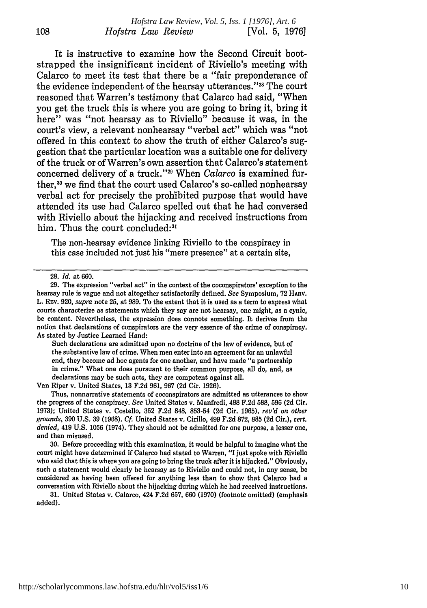It is instructive to examine how the Second Circuit bootstrapped the insignificant incident of Riviello's meeting with Calarco to meet its test that there be a "fair preponderance of the evidence independent of the hearsay utterances."<sup>28</sup> The court reasoned that Warren's testimony that Calarco had said, "When you get the truck this is where you are going to bring it, bring it here" was "not hearsay as to Riviello" because it was, in the court's view, a relevant nonhearsay "verbal act" which was "not offered in this context to show the truth of either Calarco's suggestion that the particular location was a suitable one for delivery of the truck or of Warren's own assertion that Calarco's statement concerned delivery of a truck."29 When *Calarco* is examined further,<sup>30</sup> we find that the court used Calarco's so-called nonhearsay verbal act for precisely the prohibited purpose that would have attended its use had Calarco spelled out that he had conversed with Riviello about the hijacking and received instructions from him. Thus the court concluded:<sup>3</sup>

The non-hearsay evidence linking Riviello to the conspiracy in this case included not just his "mere presence" at a certain site,

Such declarations are admitted upon no doctrine of the law of evidence, but of the substantive law of crime. When men enter into an agreement for an unlawful end, they become ad hoc agents for one another, and have made "a partnership in crime." What one does pursuant to their common purpose, all do, and, as declarations may be such acts, they are competent against all.

Van Riper v. United States, 13 F.2d 961, 967 (2d Cir. 1926).

Thus, nonnarrative statements of coconspirators are admitted as utterances to show the progress of the conspiracy. *See* United States v. Manfredi, **488 F.2d 588, 596 (2d** Cir. **1973);** United States v. Costello, **352 F.2d 848, 853-54 (2d** Cir. **1965),** *rev'd on other grounds,* **390 U.S. 39 (1968).** *Cf.* United States v. Cirillo, 499 **F.2d 872, 885 (2d** Cir.), *cert. denied,* 419 **U.S.** 1056 (1974). They should not be admitted for one purpose, a lesser one, and then misused.

**30.** Before proceeding with this examination, it would be helpful to imagine what the court might have determined if Calarco had stated to Warren, "I just spoke with Riviello who said that this is where you are going to bring the truck after it is hijacked." Obviously, such a statement would clearly be hearsay as to Riviello and could not, in any sense, be considered as having been offered for anything less than to show that Calarco had a conversation with Riviello about the hijacking during which he had received instructions.

**31.** United States v. Calarco, 424 **F.2d 657, 660 (1970)** (footnote omitted) (emphasis added).

108

**<sup>28.</sup>** *Id.* at 660.

<sup>29.</sup> The expression "verbal act" in the context of the coconspirators' exception to the hearsay rule is vague and not altogether satisfactorily defined. *See* Symposium, 72 HARv. L. Rev. 920, supra note 25, at 989. To the extent that it is used as a term to express what courts characterize as statements which they say are not hearsay, one might, as a cynic, be content. Nevertheless, the expression does connote something. It derives from the notion that declarations of conspirators are the very essence of the crime of conspiracy. As stated by Justice Learned Hand: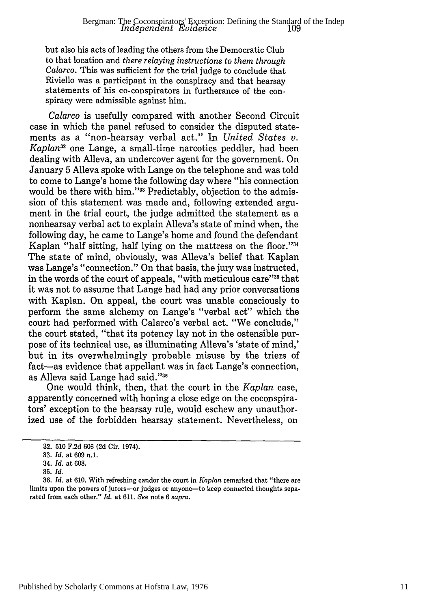but also his acts of leading the others from the Democratic Club to that location and *there relaying instructions to them through Calarco.* This was sufficient for the trial judge to conclude that Riviello was a participant in the conspiracy and that hearsay statements of his co-conspirators in furtherance of the conspiracy were admissible against him.

*Calarco* is usefully compared with another Second Circuit case in which the panel refused to consider the disputed statements as a "non-hearsay verbal act." In *United States v. Kaplan32* one Lange, a small-time narcotics peddler, had been dealing with Alleva, an undercover agent for the government. On January 5 Alleva spoke with Lange on the telephone and was told to come to Lange's home the following day where "his connection would be there with him."33 Predictably, objection to the admission of this statement was made and, following extended argument in the trial court, the judge admitted the statement as a nonhearsay verbal act to explain Alleva's state of mind when, the following day, he came to Lange's home and found the defendant Kaplan "half sitting, half lying on the mattress on the floor."34 The state of mind, obviously, was Alleva's belief that Kaplan was Lange's "connection." On that basis, the jury was instructed, in the words of the court of appeals, "with meticulous care"<sup>35</sup> that it was not to assume that Lange had had any prior conversations with Kaplan. On appeal, the court was unable consciously to perform the same alchemy on Lange's "verbal act" which the court had performed with Calarco's verbal act. "We conclude," the court stated, "that its potency lay not in the ostensible purpose of its technical use, as illuminating Alleva's 'state of mind,' but in its overwhelmingly probable misuse by the triers of fact-as evidence that appellant was in fact Lange's connection, as Alleva said Lange had said."36

One would think, then, that the court in the *Kaplan* case, apparently concerned with honing a close edge on the coconspirators' exception to the hearsay rule, would eschew any unauthorized use of the forbidden hearsay statement. Nevertheless, on

<sup>32. 510</sup> F.2d 606 (2d Cir. 1974).

<sup>33.</sup> *Id.* at 609 n.1.

<sup>34.</sup> *Id.* at 608.

<sup>35.</sup> *Id.*

<sup>36.</sup> *Id.* at 610. With refreshing candor the court in *Kaplan* remarked that "there are limits upon the powers of jurors--- or judges or anyone-- to keep connected thoughts separated from each other." *Id.* at 611. *See* note 6 *supra.*